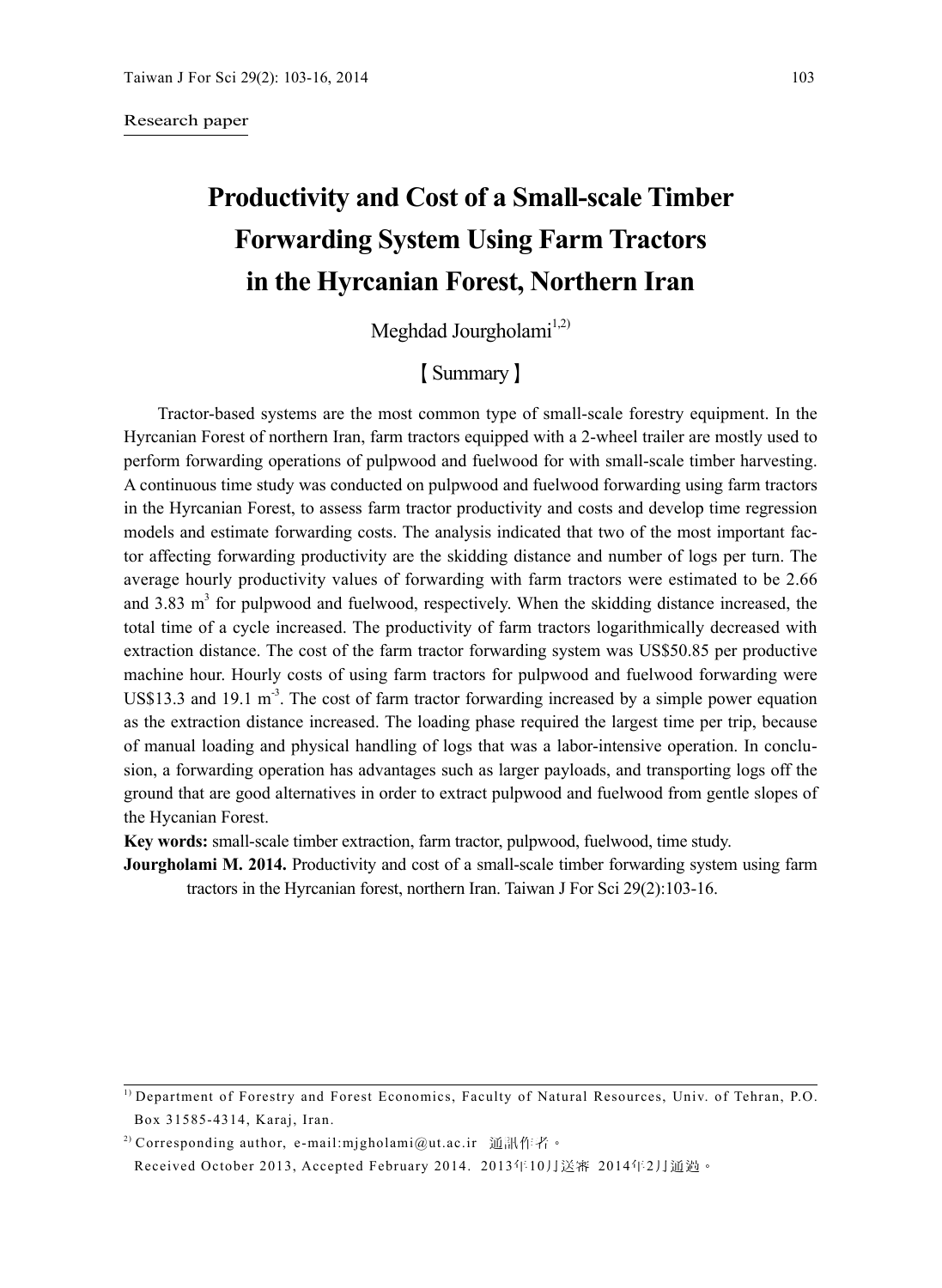#### Research paper

# **Productivity and Cost of a Small-scale Timber Forwarding System Using Farm Tractors in the Hyrcanian Forest, Northern Iran**

Meghdad Jourgholami $1,2$ )

## 【Summary】

Tractor-based systems are the most common type of small-scale forestry equipment. In the Hyrcanian Forest of northern Iran, farm tractors equipped with a 2-wheel trailer are mostly used to perform forwarding operations of pulpwood and fuelwood for with small-scale timber harvesting. A continuous time study was conducted on pulpwood and fuelwood forwarding using farm tractors in the Hyrcanian Forest, to assess farm tractor productivity and costs and develop time regression models and estimate forwarding costs. The analysis indicated that two of the most important factor affecting forwarding productivity are the skidding distance and number of logs per turn. The average hourly productivity values of forwarding with farm tractors were estimated to be 2.66 and  $3.83 \text{ m}^3$  for pulpwood and fuelwood, respectively. When the skidding distance increased, the total time of a cycle increased. The productivity of farm tractors logarithmically decreased with extraction distance. The cost of the farm tractor forwarding system was US\$50.85 per productive machine hour. Hourly costs of using farm tractors for pulpwood and fuelwood forwarding were US\$13.3 and 19.1 m<sup>-3</sup>. The cost of farm tractor forwarding increased by a simple power equation as the extraction distance increased. The loading phase required the largest time per trip, because of manual loading and physical handling of logs that was a labor-intensive operation. In conclusion, a forwarding operation has advantages such as larger payloads, and transporting logs off the ground that are good alternatives in order to extract pulpwood and fuelwood from gentle slopes of the Hycanian Forest.

**Key words:** small-scale timber extraction, farm tractor, pulpwood, fuelwood, time study.

**Jourgholami M. 2014.** Productivity and cost of a small-scale timber forwarding system using farm tractors in the Hyrcanian forest, northern Iran. Taiwan J For Sci 29(2):103-16.

2) Corresponding author, e-mail:mjgholami@ut.ac.ir 通訊作者。

Received October 2013, Accepted February 2014. 2013年10月送審 2014年2月通過。

<sup>1)</sup> Department of Forestry and Forest Economics, Faculty of Natural Resources, Univ. of Tehran, P.O. Box 31585-4314, Karaj, Iran.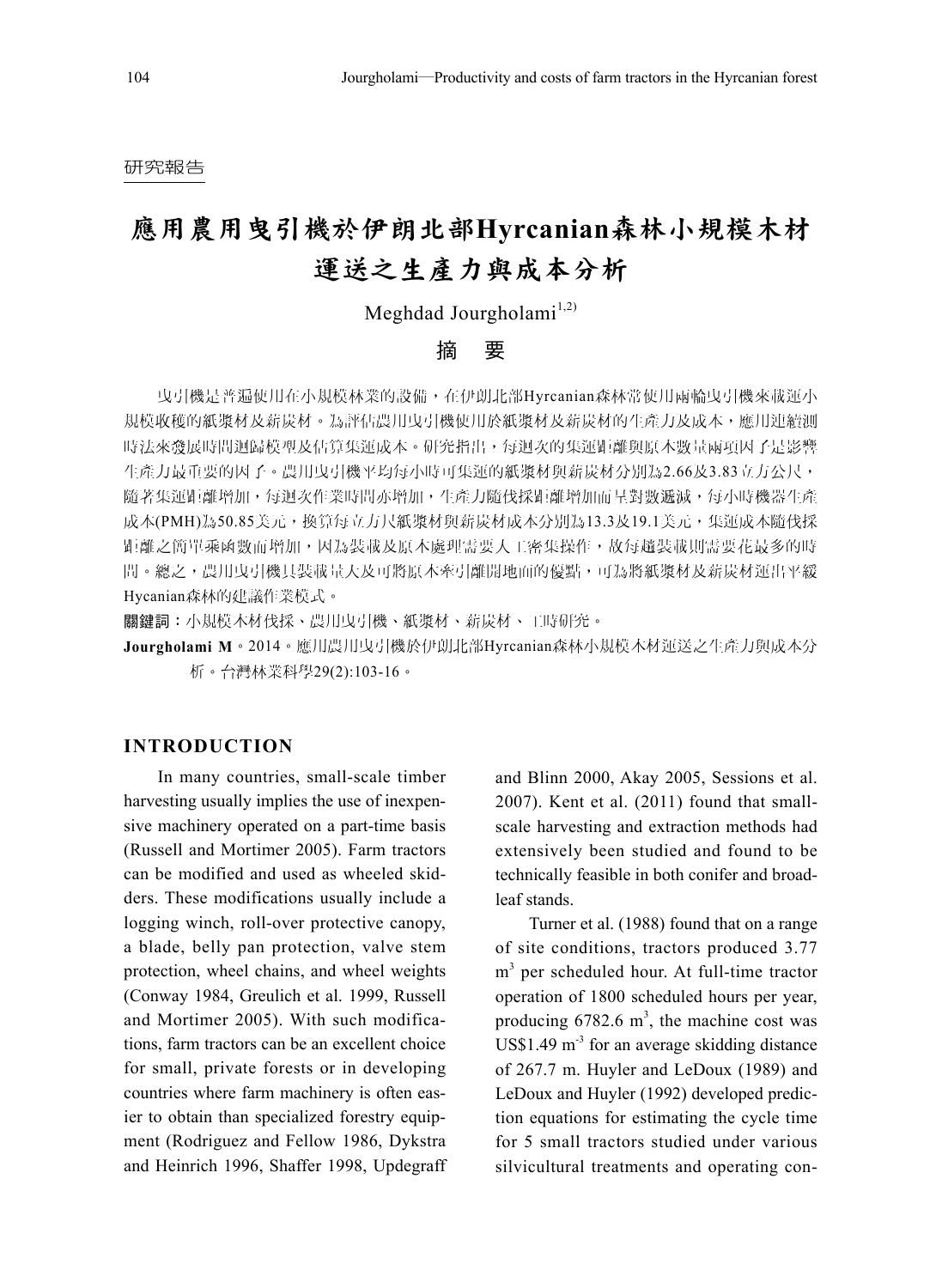#### 研究報告

## 應用農用曳引機於伊朗北部**Hyrcanian**森林小規模木材 運送之生產力與成本分析

Meghdad Jourgholami<sup>1,2)</sup>

## 摘 要

曳引機是普遍使用在小規模林業的設備,在伊朗北部Hyrcanian森林常使用兩輪曳引機來載運小 規模收穫的紙漿材及薪炭材。為評估農用曳引機使用於紙漿材及薪炭材的生產力及成本,應用連續測 時法來發展時間迴歸模型及估算集運成本。研究指出,每迴次的集運距離與原木數量兩項因子是影響 生產力最重要的因子。農用曳引機平均每小時可集運的紙漿材與薪炭材分別為2.66及3.83立方公尺, 隨著集運距離增加,每迴次作業時間亦增加,生產力隨伐採距離增加而呈對數遞減,每小時機器生產 成本(PMH)為50.85美元,換算每立方尺紙漿材與薪炭材成本分別為13.3及19.1美元,集運成本隨伐採 距離之簡單乘函數而增加,因為裝載及原木處理需要人工密集操作,故每趟裝載則需要花最多的時 間。總之,農用曳引機具裝載量大及可將原木牽引離開地面的優點,可為將紙漿材及薪炭材運出平緩 Hycanian森林的建議作業模式。

關鍵詞:小規模木材伐採、農用曳引機、紙漿材、薪炭材、工時研究。

**Jourgholami M**。2014。應用農用曳引機於伊朗北部Hyrcanian森林小規模木材運送之生產力與成本分 析。台灣林業科學29(2):103-16。

## **INTRODUCTION**

In many countries, small-scale timber harvesting usually implies the use of inexpensive machinery operated on a part-time basis (Russell and Mortimer 2005). Farm tractors can be modified and used as wheeled skidders. These modifications usually include a logging winch, roll-over protective canopy, a blade, belly pan protection, valve stem protection, wheel chains, and wheel weights (Conway 1984, Greulich et al. 1999, Russell and Mortimer 2005). With such modifications, farm tractors can be an excellent choice for small, private forests or in developing countries where farm machinery is often easier to obtain than specialized forestry equipment (Rodriguez and Fellow 1986, Dykstra and Heinrich 1996, Shaffer 1998, Updegraff

and Blinn 2000, Akay 2005, Sessions et al. 2007). Kent et al. (2011) found that smallscale harvesting and extraction methods had extensively been studied and found to be technically feasible in both conifer and broadleaf stands.

Turner et al. (1988) found that on a range of site conditions, tractors produced 3.77 m<sup>3</sup> per scheduled hour. At full-time tractor operation of 1800 scheduled hours per year, producing  $6782.6 \text{ m}^3$ , the machine cost was  $US$1.49 \text{ m}^3$  for an average skidding distance of 267.7 m. Huyler and LeDoux (1989) and LeDoux and Huyler (1992) developed prediction equations for estimating the cycle time for 5 small tractors studied under various silvicultural treatments and operating con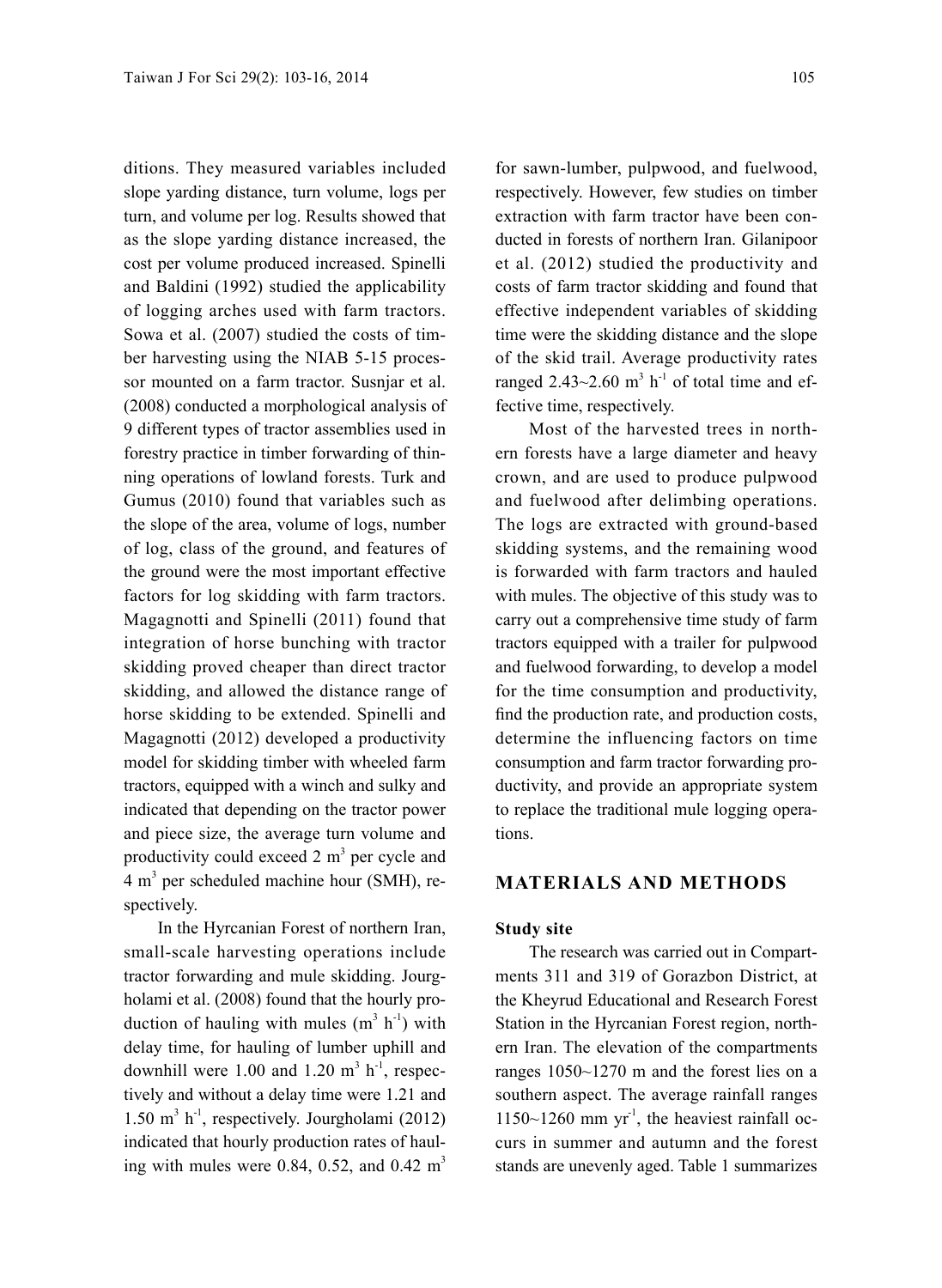ditions. They measured variables included slope yarding distance, turn volume, logs per turn, and volume per log. Results showed that as the slope yarding distance increased, the cost per volume produced increased. Spinelli and Baldini (1992) studied the applicability of logging arches used with farm tractors. Sowa et al. (2007) studied the costs of timber harvesting using the NIAB 5-15 processor mounted on a farm tractor. Susnjar et al. (2008) conducted a morphological analysis of 9 different types of tractor assemblies used in forestry practice in timber forwarding of thinning operations of lowland forests. Turk and Gumus (2010) found that variables such as the slope of the area, volume of logs, number of log, class of the ground, and features of the ground were the most important effective factors for log skidding with farm tractors. Magagnotti and Spinelli (2011) found that integration of horse bunching with tractor skidding proved cheaper than direct tractor skidding, and allowed the distance range of horse skidding to be extended. Spinelli and Magagnotti (2012) developed a productivity model for skidding timber with wheeled farm tractors, equipped with a winch and sulky and indicated that depending on the tractor power and piece size, the average turn volume and productivity could exceed  $2 \text{ m}^3$  per cycle and 4 m<sup>3</sup> per scheduled machine hour (SMH), respectively.

In the Hyrcanian Forest of northern Iran, small-scale harvesting operations include tractor forwarding and mule skidding. Jourgholami et al. (2008) found that the hourly production of hauling with mules  $(m^3 h^{-1})$  with delay time, for hauling of lumber uphill and downhill were 1.00 and 1.20  $m^3$  h<sup>-1</sup>, respectively and without a delay time were 1.21 and 1.50 m<sup>3</sup> h-1, respectively. Jourgholami (2012) indicated that hourly production rates of hauling with mules were 0.84, 0.52, and 0.42  $m<sup>3</sup>$ 

for sawn-lumber, pulpwood, and fuelwood, respectively. However, few studies on timber extraction with farm tractor have been conducted in forests of northern Iran. Gilanipoor et al. (2012) studied the productivity and costs of farm tractor skidding and found that effective independent variables of skidding time were the skidding distance and the slope of the skid trail. Average productivity rates ranged  $2.43 \sim 2.60$  m<sup>3</sup> h<sup>-1</sup> of total time and effective time, respectively.

Most of the harvested trees in northern forests have a large diameter and heavy crown, and are used to produce pulpwood and fuelwood after delimbing operations. The logs are extracted with ground-based skidding systems, and the remaining wood is forwarded with farm tractors and hauled with mules. The objective of this study was to carry out a comprehensive time study of farm tractors equipped with a trailer for pulpwood and fuelwood forwarding, to develop a model for the time consumption and productivity, find the production rate, and production costs, determine the influencing factors on time consumption and farm tractor forwarding productivity, and provide an appropriate system to replace the traditional mule logging operations.

## **MATERIALS AND METHODS**

#### **Study site**

The research was carried out in Compartments 311 and 319 of Gorazbon District, at the Kheyrud Educational and Research Forest Station in the Hyrcanian Forest region, northern Iran. The elevation of the compartments ranges 1050~1270 m and the forest lies on a southern aspect. The average rainfall ranges  $1150~1260$  mm yr<sup>-1</sup>, the heaviest rainfall occurs in summer and autumn and the forest stands are unevenly aged. Table 1 summarizes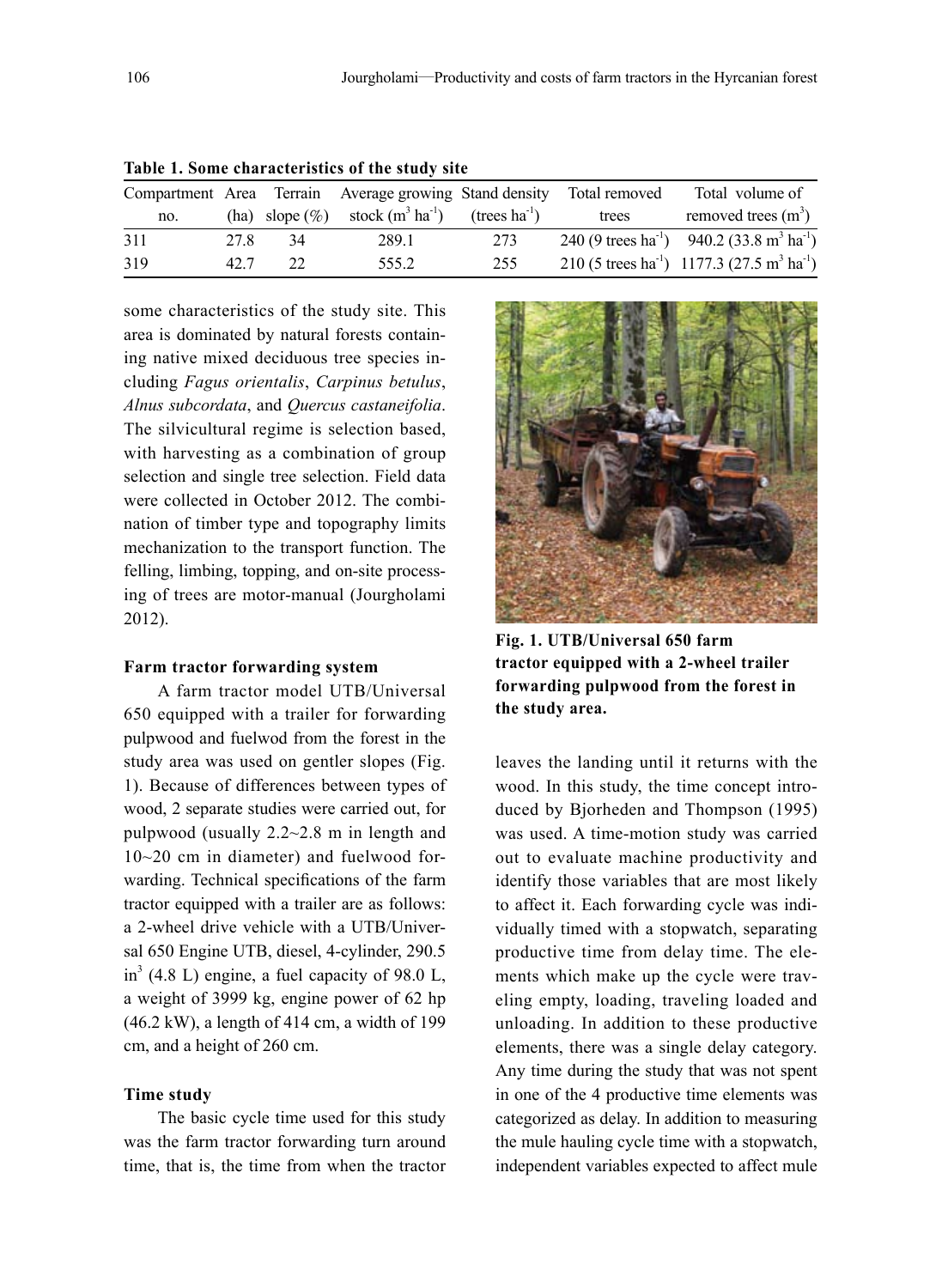|     |      |    | Compartment Area Terrain Average growing Stand density                    |     | Total removed | Total volume of                                                                |
|-----|------|----|---------------------------------------------------------------------------|-----|---------------|--------------------------------------------------------------------------------|
| no. |      |    | (ha) slope $(\%)$ stock $(m^3 \text{ ha}^{-1})$ (trees ha <sup>-1</sup> ) |     | trees         | removed trees $(m^3)$                                                          |
| 311 | 27.8 | 34 | 289.1                                                                     | 273 |               | 240 (9 trees ha <sup>-1</sup> ) 940.2 (33.8 m <sup>3</sup> ha <sup>-1</sup> )  |
| 319 | 42.7 | 22 | 555.2                                                                     | 255 |               | 210 (5 trees ha <sup>-1</sup> ) 1177.3 (27.5 m <sup>3</sup> ha <sup>-1</sup> ) |

| Table 1. Some characteristics of the study site |  |  |  |
|-------------------------------------------------|--|--|--|
|-------------------------------------------------|--|--|--|

some characteristics of the study site. This area is dominated by natural forests containing native mixed deciduous tree species including *Fagus orientalis*, *Carpinus betulus*, *Alnus subcordata*, and *Quercus castaneifolia*. The silvicultural regime is selection based, with harvesting as a combination of group selection and single tree selection. Field data were collected in October 2012. The combination of timber type and topography limits mechanization to the transport function. The felling, limbing, topping, and on-site processing of trees are motor-manual (Jourgholami 2012).

#### **Farm tractor forwarding system**

A farm tractor model UTB/Universal 650 equipped with a trailer for forwarding pulpwood and fuelwod from the forest in the study area was used on gentler slopes (Fig. 1). Because of differences between types of wood, 2 separate studies were carried out, for pulpwood (usually 2.2~2.8 m in length and 10~20 cm in diameter) and fuelwood forwarding. Technical specifications of the farm tractor equipped with a trailer are as follows: a 2-wheel drive vehicle with a UTB/Universal 650 Engine UTB, diesel, 4-cylinder, 290.5  $in<sup>3</sup>$  (4.8 L) engine, a fuel capacity of 98.0 L, a weight of 3999 kg, engine power of 62 hp (46.2 kW), a length of 414 cm, a width of 199 cm, and a height of 260 cm.

#### **Time study**

The basic cycle time used for this study was the farm tractor forwarding turn around time, that is, the time from when the tractor



**Fig. 1. UTB/Universal 650 farm tractor equipped with a 2-wheel trailer forwarding pulpwood from the forest in the study area.**

leaves the landing until it returns with the wood. In this study, the time concept introduced by Bjorheden and Thompson (1995) was used. A time-motion study was carried out to evaluate machine productivity and identify those variables that are most likely to affect it. Each forwarding cycle was individually timed with a stopwatch, separating productive time from delay time. The elements which make up the cycle were traveling empty, loading, traveling loaded and unloading. In addition to these productive elements, there was a single delay category. Any time during the study that was not spent in one of the 4 productive time elements was categorized as delay. In addition to measuring the mule hauling cycle time with a stopwatch, independent variables expected to affect mule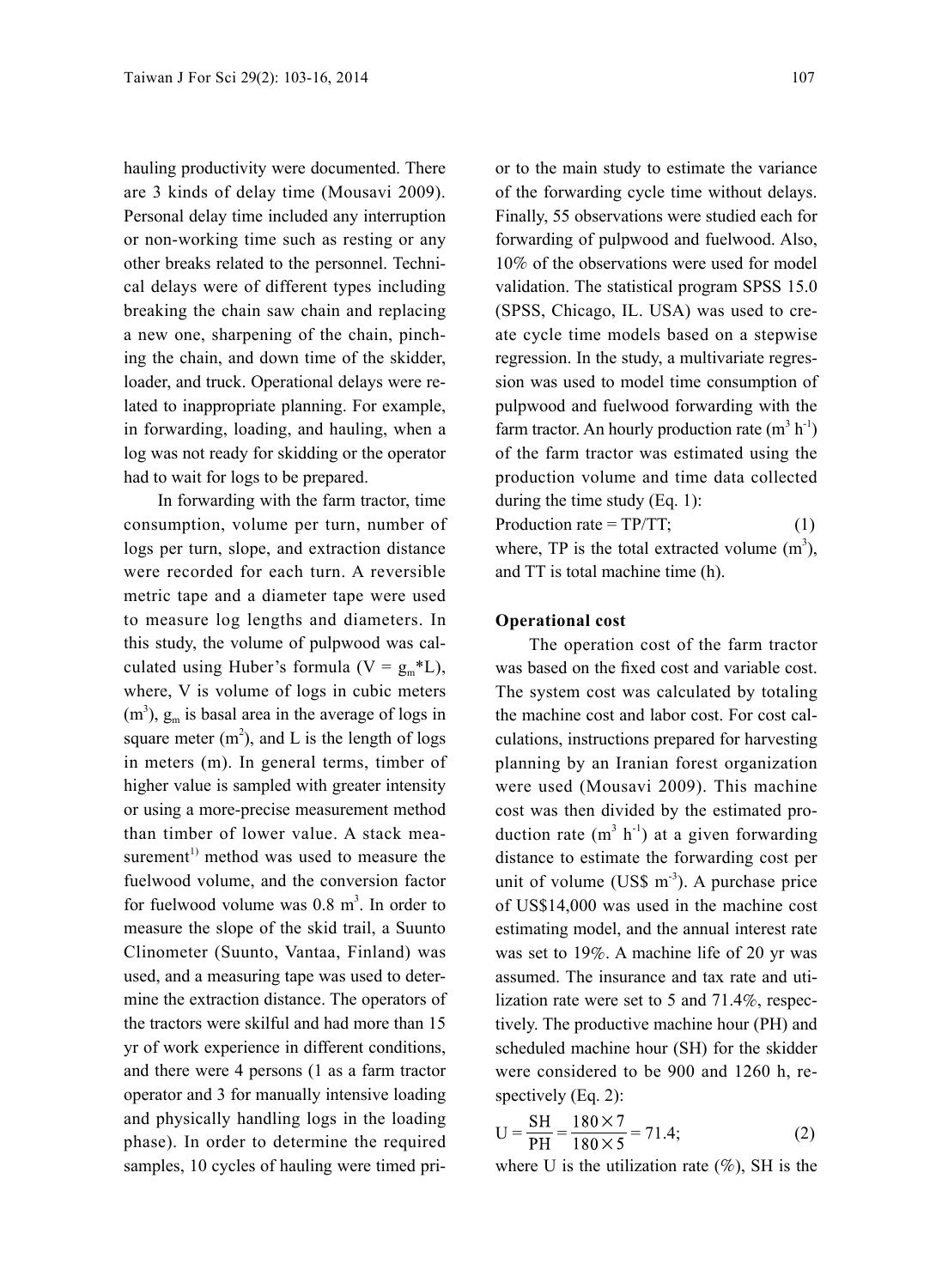hauling productivity were documented. There are 3 kinds of delay time (Mousavi 2009). Personal delay time included any interruption or non-working time such as resting or any other breaks related to the personnel. Technical delays were of different types including breaking the chain saw chain and replacing a new one, sharpening of the chain, pinching the chain, and down time of the skidder, loader, and truck. Operational delays were related to inappropriate planning. For example, in forwarding, loading, and hauling, when a log was not ready for skidding or the operator had to wait for logs to be prepared.

In forwarding with the farm tractor, time consumption, volume per turn, number of logs per turn, slope, and extraction distance were recorded for each turn. A reversible metric tape and a diameter tape were used to measure log lengths and diameters. In this study, the volume of pulpwood was calculated using Huber's formula ( $V = g_m * L$ ), where, V is volume of logs in cubic meters  $(m<sup>3</sup>)$ ,  $g<sub>m</sub>$  is basal area in the average of logs in square meter  $(m^2)$ , and L is the length of logs in meters (m). In general terms, timber of higher value is sampled with greater intensity or using a more-precise measurement method than timber of lower value. A stack measurement<sup>1)</sup> method was used to measure the fuelwood volume, and the conversion factor for fuelwood volume was  $0.8 \text{ m}^3$ . In order to measure the slope of the skid trail, a Suunto Clinometer (Suunto, Vantaa, Finland) was used, and a measuring tape was used to determine the extraction distance. The operators of the tractors were skilful and had more than 15 yr of work experience in different conditions, and there were 4 persons (1 as a farm tractor operator and 3 for manually intensive loading and physically handling logs in the loading phase). In order to determine the required samples, 10 cycles of hauling were timed prior to the main study to estimate the variance of the forwarding cycle time without delays. Finally, 55 observations were studied each for forwarding of pulpwood and fuelwood. Also, 10% of the observations were used for model validation. The statistical program SPSS 15.0 (SPSS, Chicago, IL. USA) was used to create cycle time models based on a stepwise regression. In the study, a multivariate regression was used to model time consumption of pulpwood and fuelwood forwarding with the farm tractor. An hourly production rate  $(m^3 h^1)$ of the farm tractor was estimated using the production volume and time data collected during the time study (Eq. 1): Production rate =  $TP/TT$ ; (1)

where, TP is the total extracted volume  $(m<sup>3</sup>)$ , and TT is total machine time (h).

#### **Operational cost**

The operation cost of the farm tractor was based on the fixed cost and variable cost. The system cost was calculated by totaling the machine cost and labor cost. For cost calculations, instructions prepared for harvesting planning by an Iranian forest organization were used (Mousavi 2009). This machine cost was then divided by the estimated production rate  $(m^3 h^{-1})$  at a given forwarding distance to estimate the forwarding cost per unit of volume (US\$  $m^{-3}$ ). A purchase price of US\$14,000 was used in the machine cost estimating model, and the annual interest rate was set to 19%. A machine life of 20 yr was assumed. The insurance and tax rate and utilization rate were set to 5 and 71.4%, respectively. The productive machine hour (PH) and scheduled machine hour (SH) for the skidder were considered to be 900 and 1260 h, respectively (Eq. 2):

$$
U = \frac{SH}{PH} = \frac{180 \times 7}{180 \times 5} = 71.4;
$$
 (2)

where U is the utilization rate  $(\%)$ , SH is the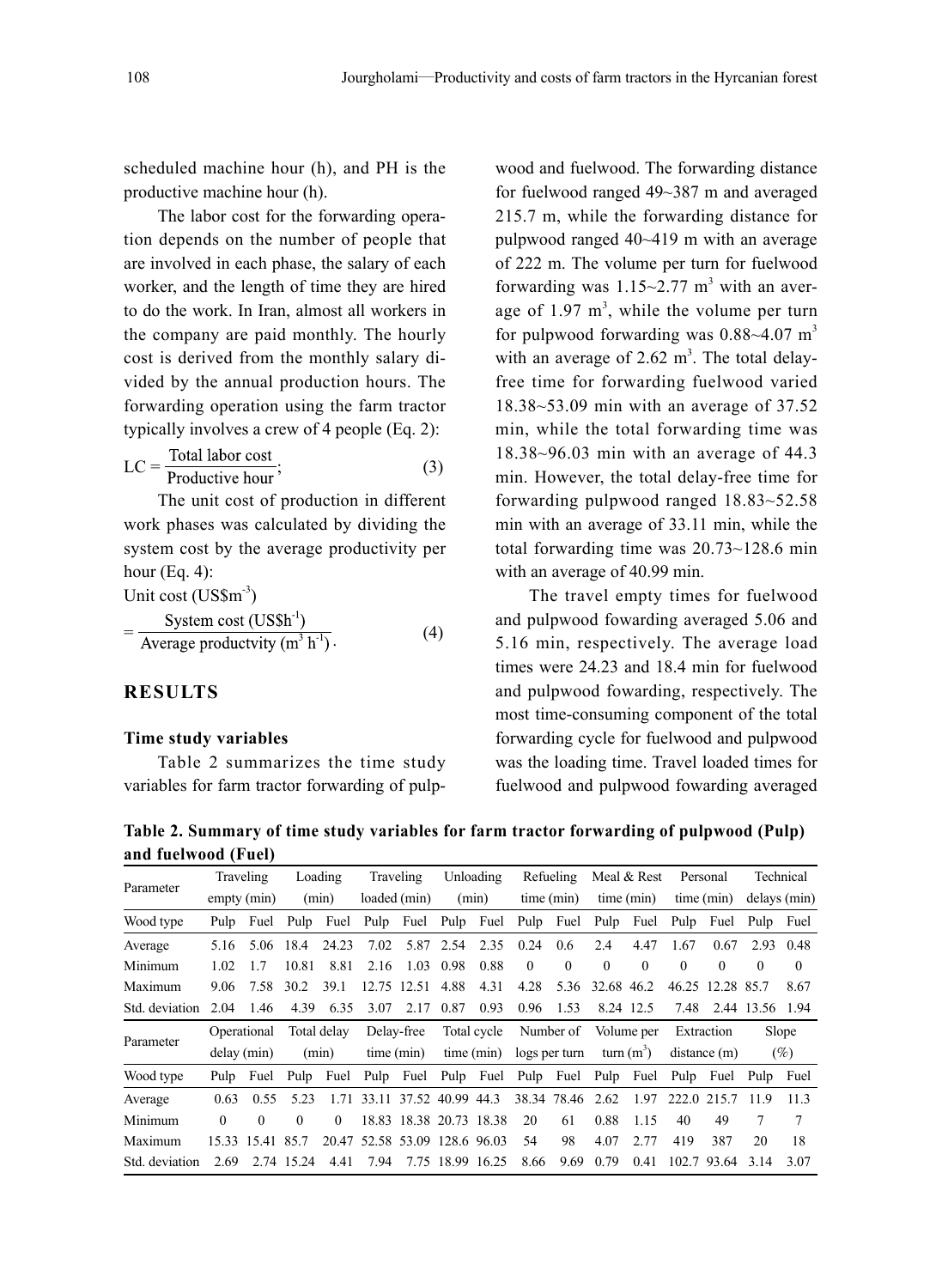scheduled machine hour (h), and PH is the productive machine hour (h).

The labor cost for the forwarding operation depends on the number of people that are involved in each phase, the salary of each worker, and the length of time they are hired to do the work. In Iran, almost all workers in the company are paid monthly. The hourly cost is derived from the monthly salary divided by the annual production hours. The forwarding operation using the farm tractor typically involves a crew of 4 people (Eq. 2):

$$
LC = \frac{\text{Total labor cost}}{\text{Productive hour}};
$$
 (3)

The unit cost of production in different work phases was calculated by dividing the system cost by the average productivity per hour (Eq. 4):

 $\sim$   $\sim$   $\sim$ 

Unit cost  $(US\$ <sup>3</sup>)<br>System cost  $(US\$ <sup>1</sup>)  $\frac{y_1}{2}$  Average productvity (m<sup>3</sup> h<sup>-1</sup>). (4)

## **RESULTS**

#### **Time study variables**

Table 2 summarizes the time study variables for farm tractor forwarding of pulp-

wood and fuelwood. The forwarding distance for fuelwood ranged 49~387 m and averaged 215.7 m, while the forwarding distance for pulpwood ranged 40~419 m with an average of 222 m. The volume per turn for fuelwood forwarding was  $1.15 \sim 2.77$  m<sup>3</sup> with an average of  $1.97 \text{ m}^3$ , while the volume per turn for pulpwood forwarding was  $0.88 \sim 4.07$  m<sup>3</sup> with an average of  $2.62 \text{ m}^3$ . The total delayfree time for forwarding fuelwood varied 18.38~53.09 min with an average of 37.52 min, while the total forwarding time was 18.38~96.03 min with an average of 44.3 min. However, the total delay-free time for forwarding pulpwood ranged 18.83~52.58 min with an average of 33.11 min, while the total forwarding time was 20.73~128.6 min with an average of 40.99 min.

The travel empty times for fuelwood and pulpwood fowarding averaged 5.06 and 5.16 min, respectively. The average load times were 24.23 and 18.4 min for fuelwood and pulpwood fowarding, respectively. The most time-consuming component of the total forwarding cycle for fuelwood and pulpwood was the loading time. Travel loaded times for fuelwood and pulpwood fowarding averaged

**Table 2. Summary of time study variables for farm tractor forwarding of pulpwood (Pulp) and fuelwood (Fuel)**

| and factwood (f act) |          |                  |            |             |                                                                  |                         |           |                  |                  |               |                      |              |          |                  |                 |                 |
|----------------------|----------|------------------|------------|-------------|------------------------------------------------------------------|-------------------------|-----------|------------------|------------------|---------------|----------------------|--------------|----------|------------------|-----------------|-----------------|
|                      |          | Traveling        |            | Loading     |                                                                  | Traveling               |           | Unloading        |                  | Refueling     |                      | Meal & Rest  |          | Personal         |                 | Technical       |
| Parameter            |          | empty (min)      |            | (min)       |                                                                  | loaded (min)            |           | (min)            |                  | time (min)    |                      | time (min)   |          | time (min)       |                 | delays (min)    |
| Wood type            | Pulp     | Fuel             |            |             | Pulp Fuel Pulp Fuel Pulp Fuel Pulp Fuel                          |                         |           |                  |                  |               | Pulp                 | Fuel Pulp    |          | Fuel             | Pulp Fuel       |                 |
| Average              | 5.16     | 5.06             | 18.4       | 24.23       | 7.02                                                             |                         | 5.87 2.54 | 2.35             | 0.24             | 0.6           | 2.4                  | 4.47         | 1.67     | 0.67             | 2.93            | 0.48            |
| Minimum              | 1.02     | 17               | 10.81      | 8.81        | 2.16                                                             |                         | 1.03 0.98 | 0.88             | $\theta$         | $\Omega$      | $\theta$             | $\theta$     | $\theta$ | $\theta$         | $\theta$        | $\left($        |
| Maximum              | 9.06     | 7.58             | 30.2       | 39.1        |                                                                  | 12.75 12.51             | 4.88      | 4.31             | 4.28             | 5.36          | 32.68 46.2           |              |          | 46.25 12.28 85.7 |                 | 8.67            |
| Std. deviation       | 2.04     | 1.46             | 4.39       | 6.35        | 3.07                                                             | 2.17                    | 0.87      | 0.93             | 0.96             | 1.53          |                      | 8.24 12.5    | 7.48     |                  | 2.44 13.56 1.94 |                 |
|                      |          | Operational      |            | Total delay |                                                                  | Delay-free              |           | Total cycle      |                  |               | Number of Volume per |              |          | Extraction       |                 | Slope           |
| Parameter            |          | delay (min)      |            | (min)       |                                                                  | time (min)              |           | time (min)       |                  | logs per turn |                      | turn $(m^3)$ |          | distance(m)      |                 | $(\%)$          |
| Wood type            | Pulp     | Fuel             |            |             | Pulp Fuel Pulp Fuel Pulp Fuel Pulp Fuel Pulp Fuel Pulp Fuel Pulp |                         |           |                  |                  |               |                      |              |          |                  |                 | Fuel            |
| Average              | 0.63     | 0.55             | 5.23       |             | 1.71 33.11 37.52 40.99 44.3                                      |                         |           |                  | 38.34 78.46 2.62 |               |                      | 1.97         |          | 222.0 215.7 11.9 |                 | 11.3            |
| Minimum              | $\Omega$ | $\Omega$         | 0          | $\Omega$    |                                                                  | 18.83 18.38 20.73 18.38 |           |                  | 20               | 61            | 0.88                 | 1.15         | 40       | 49               | 7               | $7\phantom{.0}$ |
| Maximum              |          | 15.33 15.41 85.7 |            |             | 20.47 52.58 53.09 128.6 96.03                                    |                         |           |                  | 54               | 98            | 4.07                 | 2.77         | 419      | 387              | 20              | 18              |
| Std. deviation       | 2.69     |                  | 2.74 15.24 | 4.41        | 7.94                                                             |                         |           | 7.75 18.99 16.25 | 8.66             | 9.69          | 0.79                 | 0.41         |          | 102.7 93.64      | 3.14            | 3.07            |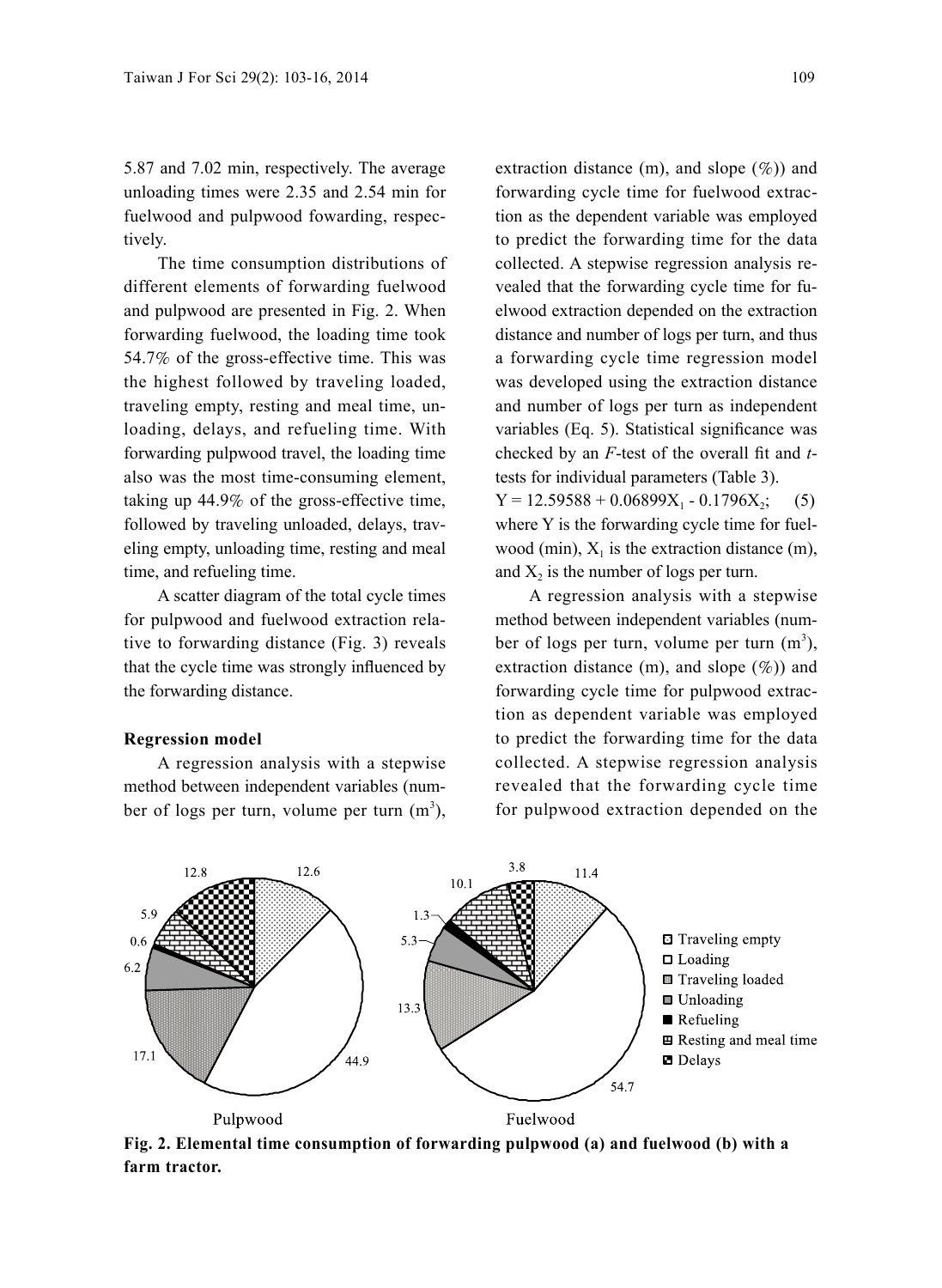5.87 and 7.02 min, respectively. The average unloading times were 2.35 and 2.54 min for fuelwood and pulpwood fowarding, respectively.

The time consumption distributions of different elements of forwarding fuelwood and pulpwood are presented in Fig. 2. When forwarding fuelwood, the loading time took 54.7% of the gross-effective time. This was the highest followed by traveling loaded, traveling empty, resting and meal time, unloading, delays, and refueling time. With forwarding pulpwood travel, the loading time also was the most time-consuming element, taking up 44.9% of the gross-effective time, followed by traveling unloaded, delays, traveling empty, unloading time, resting and meal time, and refueling time.

A scatter diagram of the total cycle times for pulpwood and fuelwood extraction relative to forwarding distance (Fig. 3) reveals that the cycle time was strongly influenced by the forwarding distance.

#### **Regression model**

A regression analysis with a stepwise method between independent variables (number of logs per turn, volume per turn  $(m^3)$ , extraction distance  $(m)$ , and slope  $(\%)$  and forwarding cycle time for fuelwood extraction as the dependent variable was employed to predict the forwarding time for the data collected. A stepwise regression analysis revealed that the forwarding cycle time for fuelwood extraction depended on the extraction distance and number of logs per turn, and thus a forwarding cycle time regression model was developed using the extraction distance and number of logs per turn as independent variables (Eq. 5). Statistical significance was checked by an *F*-test of the overall fit and *t*tests for individual parameters (Table 3).  $Y = 12.59588 + 0.06899X_1 - 0.1796X_2$ ; (5) where Y is the forwarding cycle time for fuelwood (min),  $X_1$  is the extraction distance (m), and  $X_2$  is the number of logs per turn.

A regression analysis with a stepwise method between independent variables (number of logs per turn, volume per turn  $(m^3)$ , extraction distance  $(m)$ , and slope  $(\%)$  and forwarding cycle time for pulpwood extraction as dependent variable was employed to predict the forwarding time for the data collected. A stepwise regression analysis revealed that the forwarding cycle time for pulpwood extraction depended on the



**Fig. 2. Elemental time consumption of forwarding pulpwood (a) and fuelwood (b) with a farm tractor.**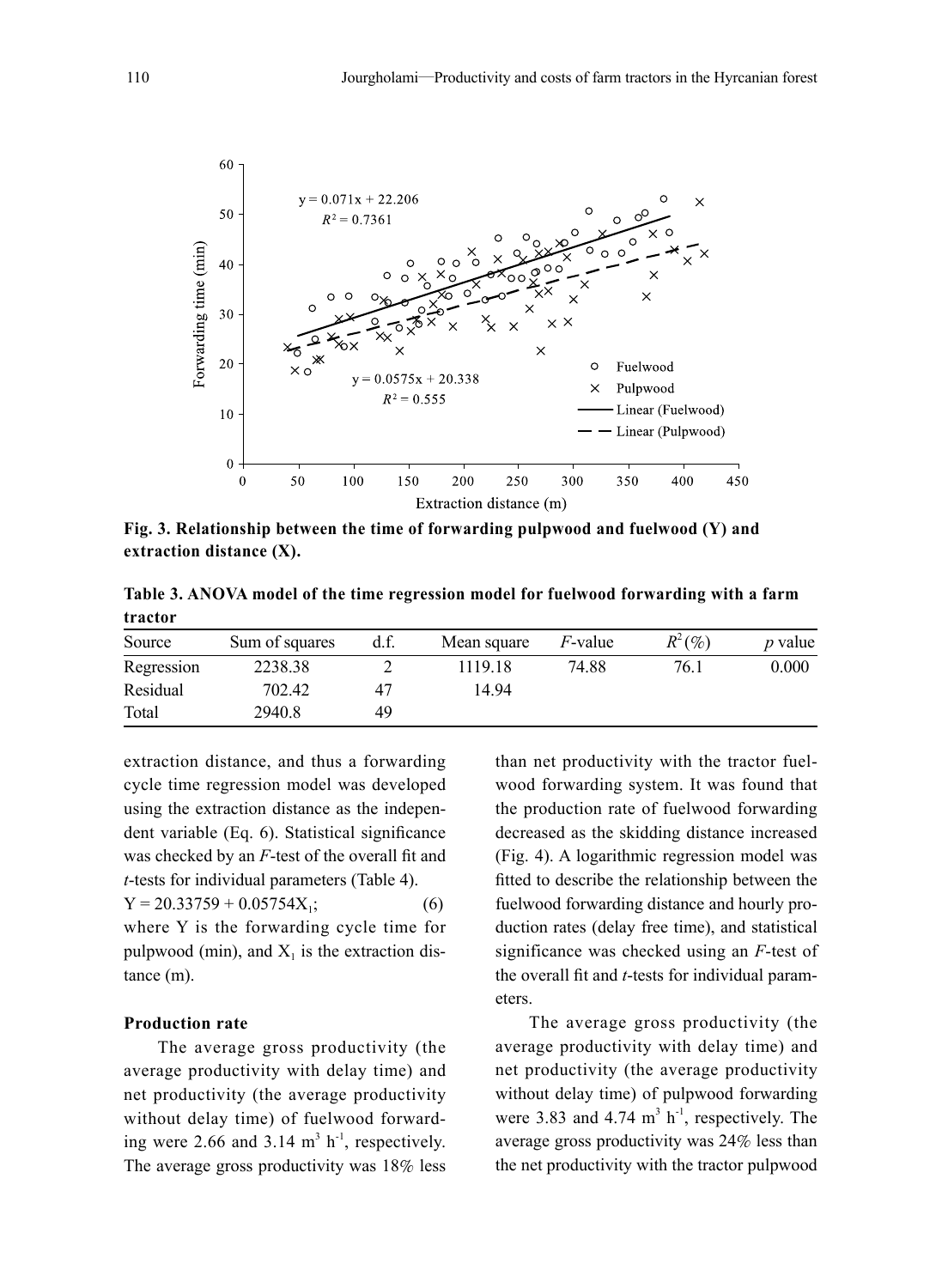

**Fig. 3. Relationship between the time of forwarding pulpwood and fuelwood (Y) and extraction distance (X).**

**Table 3. ANOVA model of the time regression model for fuelwood forwarding with a farm tractor**

| Source     | Sum of squares | d.f. | Mean square | <i>F</i> -value | $R^2(\%)$ | <i>p</i> value |
|------------|----------------|------|-------------|-----------------|-----------|----------------|
| Regression | 2238.38        |      | 1119 18     | 74.88           | 76.1      | 0.000          |
| Residual   | 702.42         | 47   | 14.94       |                 |           |                |
| Total      | 2940.8         | 49   |             |                 |           |                |

extraction distance, and thus a forwarding cycle time regression model was developed using the extraction distance as the independent variable (Eq. 6). Statistical significance was checked by an *F*-test of the overall fit and *t*-tests for individual parameters (Table 4).  $Y = 20.33759 + 0.05754X_1;$  (6) where Y is the forwarding cycle time for pulpwood (min), and  $X_1$  is the extraction distance (m).

#### **Production rate**

The average gross productivity (the average productivity with delay time) and net productivity (the average productivity without delay time) of fuelwood forwarding were 2.66 and 3.14  $m<sup>3</sup> h<sup>-1</sup>$ , respectively. The average gross productivity was 18% less

than net productivity with the tractor fuelwood forwarding system. It was found that the production rate of fuelwood forwarding decreased as the skidding distance increased (Fig. 4). A logarithmic regression model was fitted to describe the relationship between the fuelwood forwarding distance and hourly production rates (delay free time), and statistical significance was checked using an *F*-test of the overall fit and *t*-tests for individual parameters.

The average gross productivity (the average productivity with delay time) and net productivity (the average productivity without delay time) of pulpwood forwarding were 3.83 and 4.74  $m<sup>3</sup> h<sup>-1</sup>$ , respectively. The average gross productivity was 24% less than the net productivity with the tractor pulpwood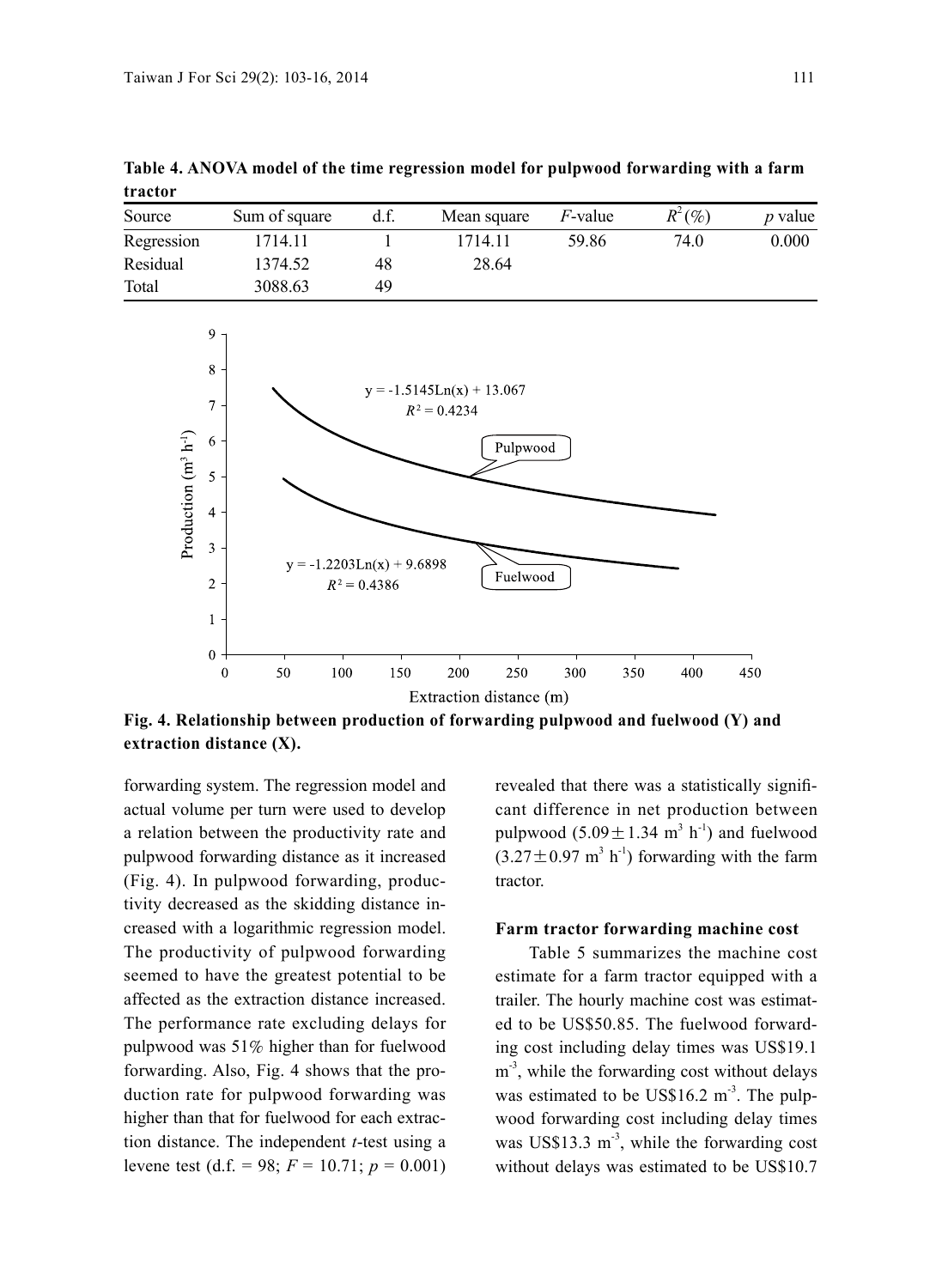| tractor    |               |      |             |                 |           |                |  |  |
|------------|---------------|------|-------------|-----------------|-----------|----------------|--|--|
| Source     | Sum of square | d.f. | Mean square | <i>F</i> -value | $R^2(\%)$ | <i>p</i> value |  |  |
| Regression | 1714.11       |      | 1714.11     | 59.86           | 74.0      | 0.000          |  |  |
| Residual   | 1374.52       | 48   | 28.64       |                 |           |                |  |  |
| Total      | 3088.63       | 49   |             |                 |           |                |  |  |

**Table 4. ANOVA model of the time regression model for pulpwood forwarding with a farm tractor**



**Fig. 4. Relationship between production of forwarding pulpwood and fuelwood (Y) and extraction distance (X).**

forwarding system. The regression model and actual volume per turn were used to develop a relation between the productivity rate and pulpwood forwarding distance as it increased (Fig. 4). In pulpwood forwarding, productivity decreased as the skidding distance increased with a logarithmic regression model. The productivity of pulpwood forwarding seemed to have the greatest potential to be affected as the extraction distance increased. The performance rate excluding delays for pulpwood was 51% higher than for fuelwood forwarding. Also, Fig. 4 shows that the production rate for pulpwood forwarding was higher than that for fuelwood for each extraction distance. The independent *t*-test using a levene test (d.f. = 98;  $F = 10.71$ ;  $p = 0.001$ ) revealed that there was a statistically significant difference in net production between pulpwood  $(5.09 \pm 1.34 \text{ m}^3 \text{ h}^{-1})$  and fuelwood  $(3.27 \pm 0.97 \text{ m}^3 \text{ h}^{\text{-1}})$  forwarding with the farm tractor.

#### **Farm tractor forwarding machine cost**

Table 5 summarizes the machine cost estimate for a farm tractor equipped with a trailer. The hourly machine cost was estimated to be US\$50.85. The fuelwood forwarding cost including delay times was US\$19.1 m<sup>-3</sup>, while the forwarding cost without delays was estimated to be US\$16.2  $\text{m}^3$ . The pulpwood forwarding cost including delay times was US\$13.3  $m<sup>3</sup>$ , while the forwarding cost without delays was estimated to be US\$10.7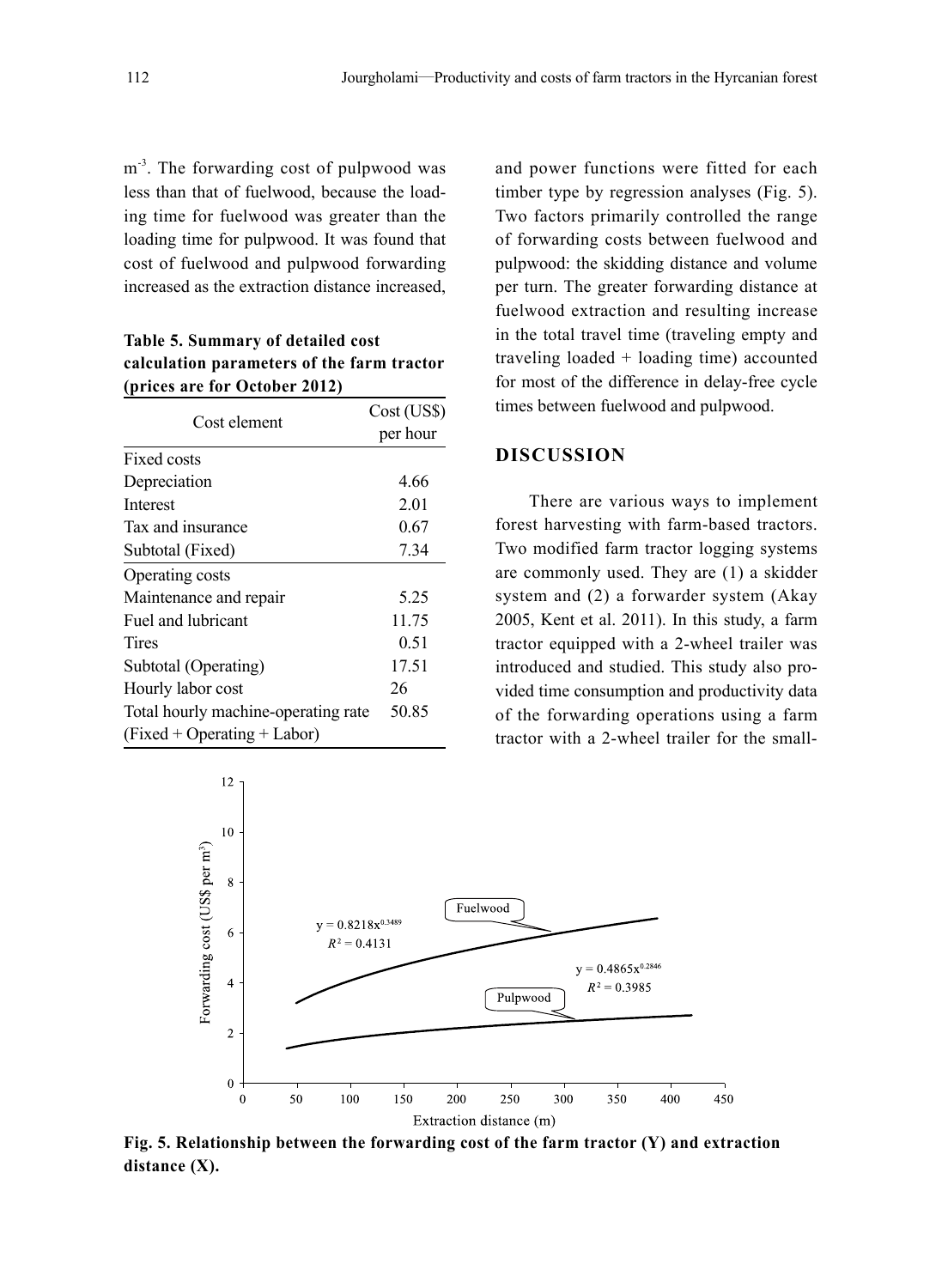m<sup>-3</sup>. The forwarding cost of pulpwood was less than that of fuelwood, because the loading time for fuelwood was greater than the loading time for pulpwood. It was found that cost of fuelwood and pulpwood forwarding increased as the extraction distance increased,

**Table 5. Summary of detailed cost calculation parameters of the farm tractor (prices are for October 2012)**

| Cost element                        | Cost (US\$) |
|-------------------------------------|-------------|
|                                     | per hour    |
| Fixed costs                         |             |
| Depreciation                        | 4.66        |
| <b>Interest</b>                     | 2.01        |
| Tax and insurance                   | 0.67        |
| Subtotal (Fixed)                    | 7.34        |
| Operating costs                     |             |
| Maintenance and repair              | 5.25        |
| Fuel and lubricant                  | 11.75       |
| Tires                               | 0.51        |
| Subtotal (Operating)                | 17.51       |
| Hourly labor cost                   | 26          |
| Total hourly machine-operating rate | 50.85       |
| $(Fixed + Operating + Labor)$       |             |

and power functions were fitted for each timber type by regression analyses (Fig. 5). Two factors primarily controlled the range of forwarding costs between fuelwood and pulpwood: the skidding distance and volume per turn. The greater forwarding distance at fuelwood extraction and resulting increase in the total travel time (traveling empty and traveling loaded + loading time) accounted for most of the difference in delay-free cycle times between fuelwood and pulpwood.

### **DISCUSSION**

There are various ways to implement forest harvesting with farm-based tractors. Two modified farm tractor logging systems are commonly used. They are (1) a skidder system and (2) a forwarder system (Akay 2005, Kent et al. 2011). In this study, a farm tractor equipped with a 2-wheel trailer was introduced and studied. This study also provided time consumption and productivity data of the forwarding operations using a farm tractor with a 2-wheel trailer for the small-



**Fig. 5. Relationship between the forwarding cost of the farm tractor (Y) and extraction distance (X).**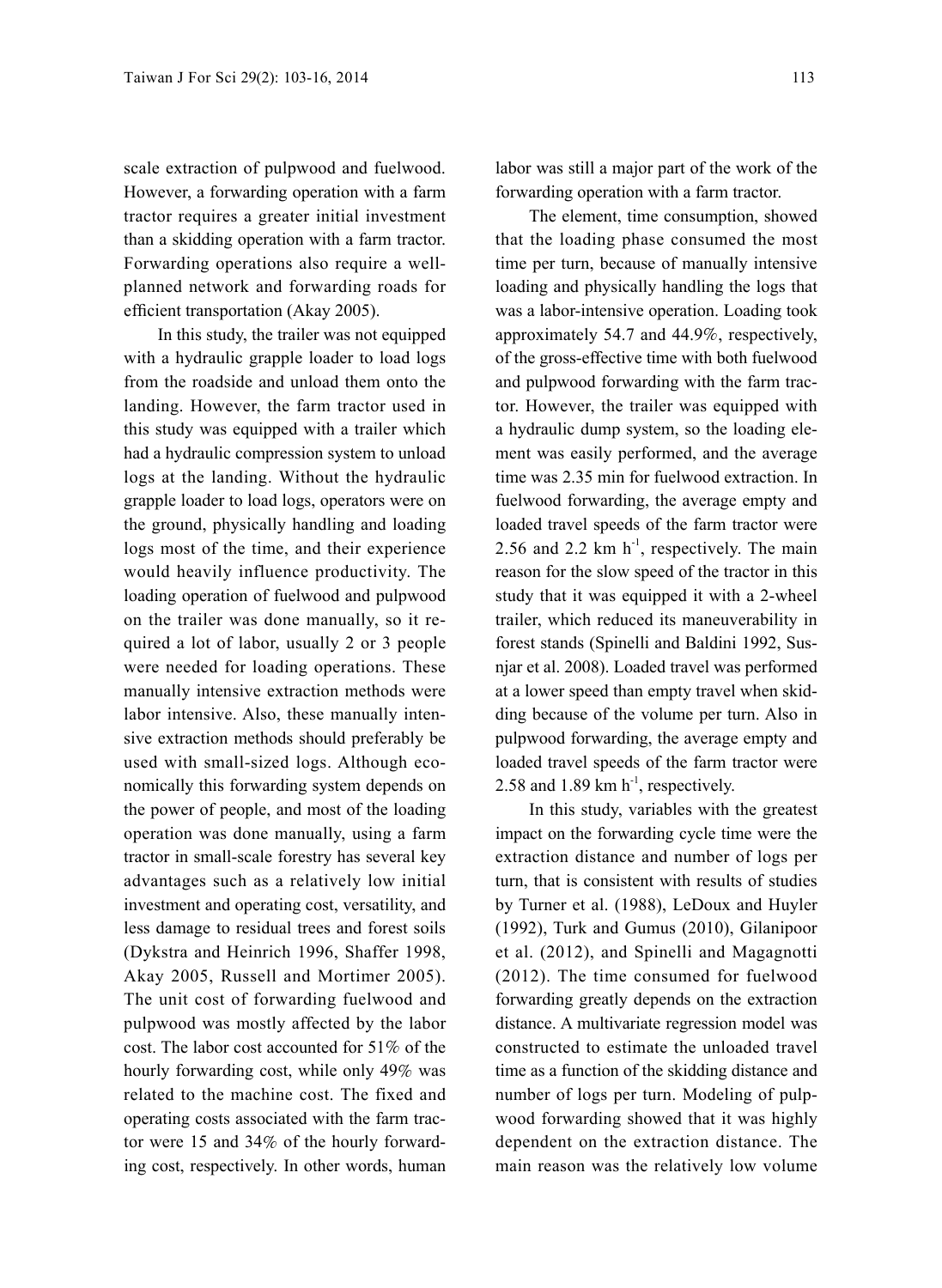scale extraction of pulpwood and fuelwood. However, a forwarding operation with a farm tractor requires a greater initial investment than a skidding operation with a farm tractor. Forwarding operations also require a wellplanned network and forwarding roads for efficient transportation (Akay 2005).

In this study, the trailer was not equipped with a hydraulic grapple loader to load logs from the roadside and unload them onto the landing. However, the farm tractor used in this study was equipped with a trailer which had a hydraulic compression system to unload logs at the landing. Without the hydraulic grapple loader to load logs, operators were on the ground, physically handling and loading logs most of the time, and their experience would heavily influence productivity. The loading operation of fuelwood and pulpwood on the trailer was done manually, so it required a lot of labor, usually 2 or 3 people were needed for loading operations. These manually intensive extraction methods were labor intensive. Also, these manually intensive extraction methods should preferably be used with small-sized logs. Although economically this forwarding system depends on the power of people, and most of the loading operation was done manually, using a farm tractor in small-scale forestry has several key advantages such as a relatively low initial investment and operating cost, versatility, and less damage to residual trees and forest soils (Dykstra and Heinrich 1996, Shaffer 1998, Akay 2005, Russell and Mortimer 2005). The unit cost of forwarding fuelwood and pulpwood was mostly affected by the labor cost. The labor cost accounted for 51% of the hourly forwarding cost, while only 49% was related to the machine cost. The fixed and operating costs associated with the farm tractor were 15 and 34% of the hourly forwarding cost, respectively. In other words, human labor was still a major part of the work of the forwarding operation with a farm tractor.

The element, time consumption, showed that the loading phase consumed the most time per turn, because of manually intensive loading and physically handling the logs that was a labor-intensive operation. Loading took approximately 54.7 and 44.9%, respectively, of the gross-effective time with both fuelwood and pulpwood forwarding with the farm tractor. However, the trailer was equipped with a hydraulic dump system, so the loading element was easily performed, and the average time was 2.35 min for fuelwood extraction. In fuelwood forwarding, the average empty and loaded travel speeds of the farm tractor were 2.56 and 2.2 km  $h^{-1}$ , respectively. The main reason for the slow speed of the tractor in this study that it was equipped it with a 2-wheel trailer, which reduced its maneuverability in forest stands (Spinelli and Baldini 1992, Susnjar et al. 2008). Loaded travel was performed at a lower speed than empty travel when skidding because of the volume per turn. Also in pulpwood forwarding, the average empty and loaded travel speeds of the farm tractor were 2.58 and 1.89 km  $h^{-1}$ , respectively.

In this study, variables with the greatest impact on the forwarding cycle time were the extraction distance and number of logs per turn, that is consistent with results of studies by Turner et al. (1988), LeDoux and Huyler (1992), Turk and Gumus (2010), Gilanipoor et al. (2012), and Spinelli and Magagnotti (2012). The time consumed for fuelwood forwarding greatly depends on the extraction distance. A multivariate regression model was constructed to estimate the unloaded travel time as a function of the skidding distance and number of logs per turn. Modeling of pulpwood forwarding showed that it was highly dependent on the extraction distance. The main reason was the relatively low volume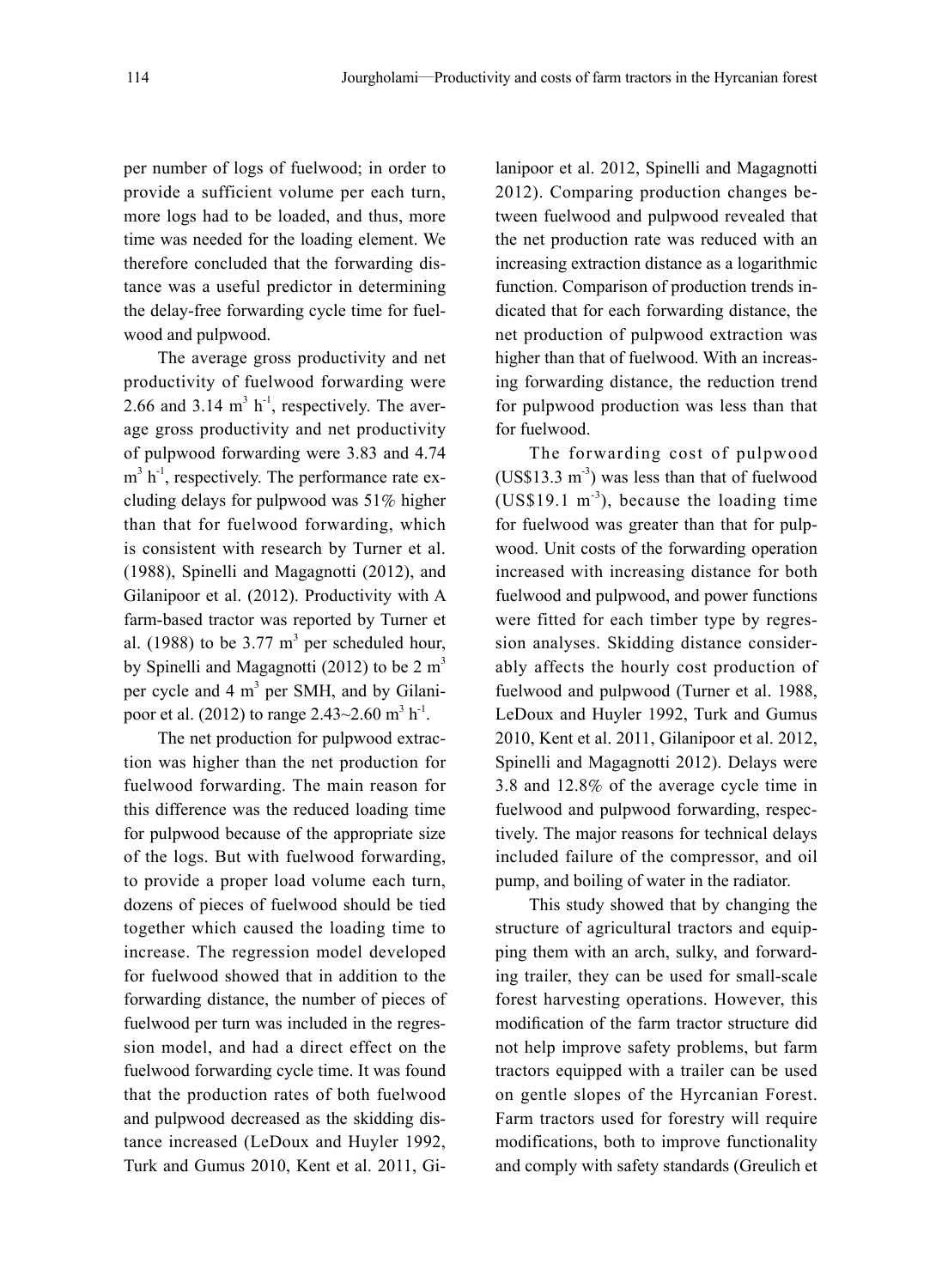per number of logs of fuelwood; in order to provide a sufficient volume per each turn, more logs had to be loaded, and thus, more time was needed for the loading element. We therefore concluded that the forwarding distance was a useful predictor in determining the delay-free forwarding cycle time for fuelwood and pulpwood.

The average gross productivity and net productivity of fuelwood forwarding were 2.66 and 3.14  $m<sup>3</sup> h<sup>-1</sup>$ , respectively. The average gross productivity and net productivity of pulpwood forwarding were 3.83 and 4.74  $m<sup>3</sup> h<sup>-1</sup>$ , respectively. The performance rate excluding delays for pulpwood was 51% higher than that for fuelwood forwarding, which is consistent with research by Turner et al. (1988), Spinelli and Magagnotti (2012), and Gilanipoor et al. (2012). Productivity with A farm-based tractor was reported by Turner et al. (1988) to be  $3.77 \text{ m}^3$  per scheduled hour, by Spinelli and Magagnotti (2012) to be  $2 m<sup>3</sup>$ per cycle and 4 m<sup>3</sup> per SMH, and by Gilanipoor et al. (2012) to range  $2.43{\sim}2.60$  m<sup>3</sup> h<sup>-1</sup>.

The net production for pulpwood extraction was higher than the net production for fuelwood forwarding. The main reason for this difference was the reduced loading time for pulpwood because of the appropriate size of the logs. But with fuelwood forwarding, to provide a proper load volume each turn, dozens of pieces of fuelwood should be tied together which caused the loading time to increase. The regression model developed for fuelwood showed that in addition to the forwarding distance, the number of pieces of fuelwood per turn was included in the regression model, and had a direct effect on the fuelwood forwarding cycle time. It was found that the production rates of both fuelwood and pulpwood decreased as the skidding distance increased (LeDoux and Huyler 1992, Turk and Gumus 2010, Kent et al. 2011, Gilanipoor et al. 2012, Spinelli and Magagnotti 2012). Comparing production changes between fuelwood and pulpwood revealed that the net production rate was reduced with an increasing extraction distance as a logarithmic function. Comparison of production trends indicated that for each forwarding distance, the net production of pulpwood extraction was higher than that of fuelwood. With an increasing forwarding distance, the reduction trend for pulpwood production was less than that for fuelwood.

The forwarding cost of pulpwood  $(US$13.3 m<sup>-3</sup>)$  was less than that of fuelwood (US\$19.1 m<sup>-3</sup>), because the loading time for fuelwood was greater than that for pulpwood. Unit costs of the forwarding operation increased with increasing distance for both fuelwood and pulpwood, and power functions were fitted for each timber type by regression analyses. Skidding distance considerably affects the hourly cost production of fuelwood and pulpwood (Turner et al. 1988, LeDoux and Huyler 1992, Turk and Gumus 2010, Kent et al. 2011, Gilanipoor et al. 2012, Spinelli and Magagnotti 2012). Delays were 3.8 and 12.8% of the average cycle time in fuelwood and pulpwood forwarding, respectively. The major reasons for technical delays included failure of the compressor, and oil pump, and boiling of water in the radiator.

This study showed that by changing the structure of agricultural tractors and equipping them with an arch, sulky, and forwarding trailer, they can be used for small-scale forest harvesting operations. However, this modification of the farm tractor structure did not help improve safety problems, but farm tractors equipped with a trailer can be used on gentle slopes of the Hyrcanian Forest. Farm tractors used for forestry will require modifications, both to improve functionality and comply with safety standards (Greulich et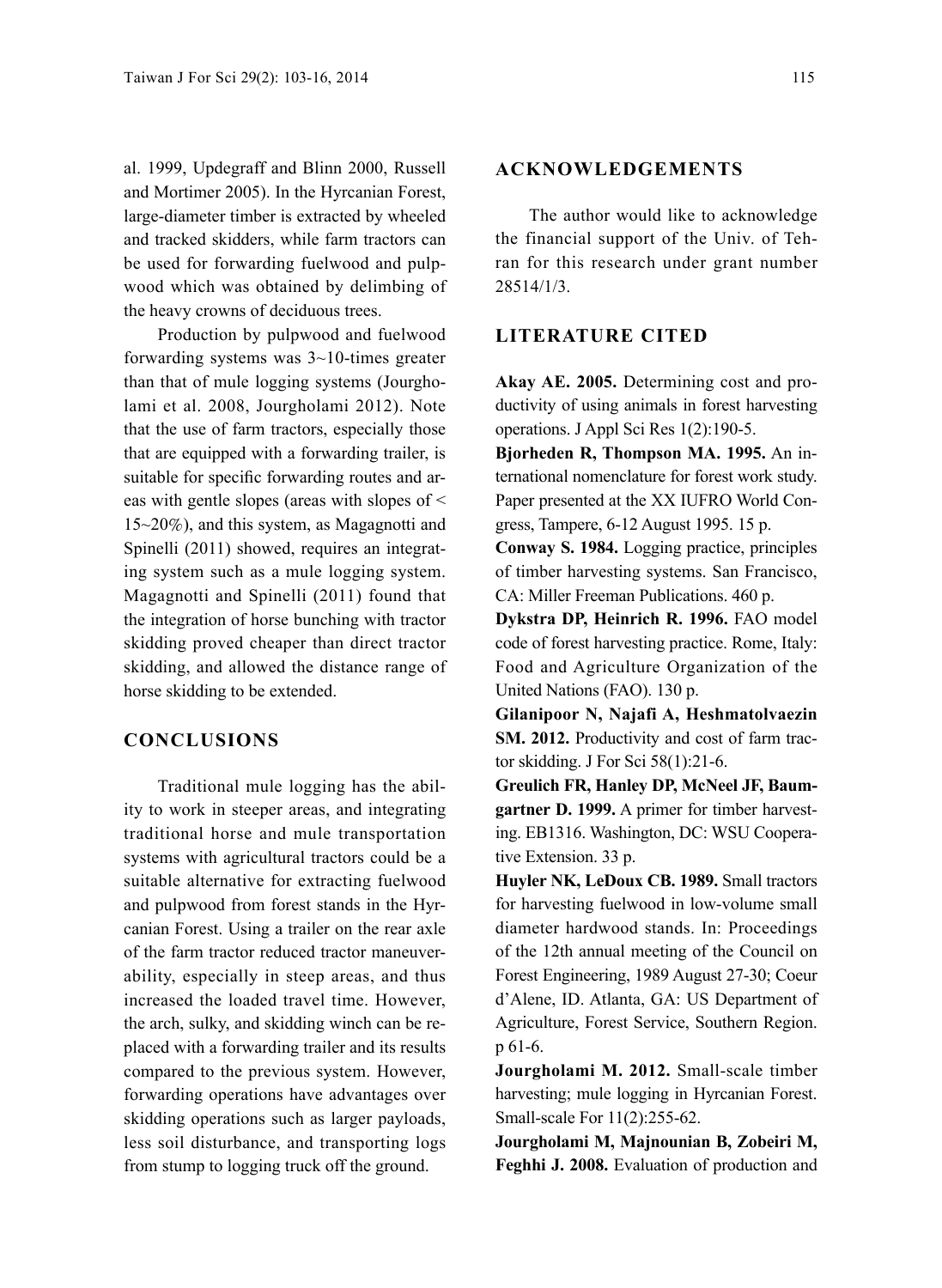al. 1999, Updegraff and Blinn 2000, Russell and Mortimer 2005). In the Hyrcanian Forest, large-diameter timber is extracted by wheeled and tracked skidders, while farm tractors can be used for forwarding fuelwood and pulpwood which was obtained by delimbing of the heavy crowns of deciduous trees.

Production by pulpwood and fuelwood forwarding systems was 3~10-times greater than that of mule logging systems (Jourgholami et al. 2008, Jourgholami 2012). Note that the use of farm tractors, especially those that are equipped with a forwarding trailer, is suitable for specific forwarding routes and areas with gentle slopes (areas with slopes of < 15~20%), and this system, as Magagnotti and Spinelli (2011) showed, requires an integrating system such as a mule logging system. Magagnotti and Spinelli (2011) found that the integration of horse bunching with tractor skidding proved cheaper than direct tractor skidding, and allowed the distance range of horse skidding to be extended.

## **CONCLUSIONS**

Traditional mule logging has the ability to work in steeper areas, and integrating traditional horse and mule transportation systems with agricultural tractors could be a suitable alternative for extracting fuelwood and pulpwood from forest stands in the Hyrcanian Forest. Using a trailer on the rear axle of the farm tractor reduced tractor maneuverability, especially in steep areas, and thus increased the loaded travel time. However, the arch, sulky, and skidding winch can be replaced with a forwarding trailer and its results compared to the previous system. However, forwarding operations have advantages over skidding operations such as larger payloads, less soil disturbance, and transporting logs from stump to logging truck off the ground.

## **ACKNOWLEDGEMENTS**

The author would like to acknowledge the financial support of the Univ. of Tehran for this research under grant number 28514/1/3.

#### **LITERATURE CITED**

**Akay AE. 2005.** Determining cost and productivity of using animals in forest harvesting operations. J Appl Sci Res 1(2):190-5.

**Bjorheden R, Thompson MA. 1995.** An international nomenclature for forest work study. Paper presented at the XX IUFRO World Congress, Tampere, 6-12 August 1995. 15 p.

**Conway S. 1984.** Logging practice, principles of timber harvesting systems. San Francisco, CA: Miller Freeman Publications. 460 p.

**Dykstra DP, Heinrich R. 1996.** FAO model code of forest harvesting practice. Rome, Italy: Food and Agriculture Organization of the United Nations (FAO). 130 p.

**Gilanipoor N, Najafi A, Heshmatolvaezin SM. 2012.** Productivity and cost of farm tractor skidding. J For Sci 58(1):21-6.

**Greulich FR, Hanley DP, McNeel JF, Baumgartner D. 1999.** A primer for timber harvesting. EB1316. Washington, DC: WSU Cooperative Extension. 33 p.

**Huyler NK, LeDoux CB. 1989.** Small tractors for harvesting fuelwood in low-volume small diameter hardwood stands. In: Proceedings of the 12th annual meeting of the Council on Forest Engineering, 1989 August 27-30; Coeur d'Alene, ID. Atlanta, GA: US Department of Agriculture, Forest Service, Southern Region. p 61-6.

**Jourgholami M. 2012.** Small-scale timber harvesting; mule logging in Hyrcanian Forest. Small-scale For 11(2):255-62.

**Jourgholami M, Majnounian B, Zobeiri M, Feghhi J. 2008.** Evaluation of production and